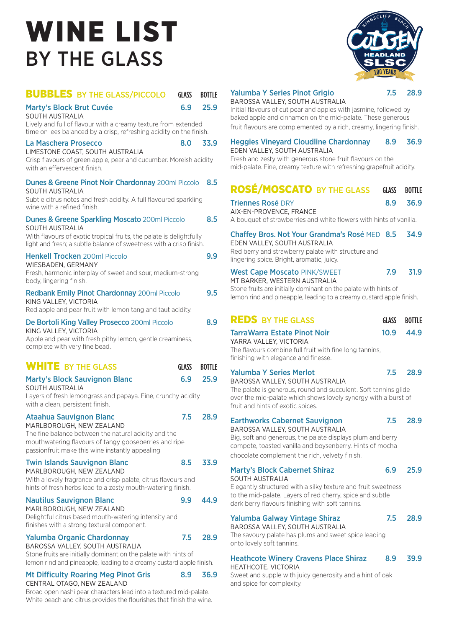# WINE LIST BY THE GLASS



## **BUBBLES** BY THE GLASS/PICCOLO GLASS BOTTLE

Marty's Block Brut Cuvée 6.9 25.9

SOUTH AUSTRALIA

Lively and full of flavour with a creamy texture from extended time on lees balanced by a crisp, refreshing acidity on the finish.

#### La Maschera Prosecco 8.0 33.9

LIMESTONE COAST, SOUTH AUSTRALIA Crisp flavours of green apple, pear and cucumber. Moreish acidity with an effervescent finish.

#### Dunes & Greene Pinot Noir Chardonnay 200ml Piccolo 8.5 SOUTH AUSTRALIA Subtle citrus notes and fresh acidity. A full flavoured sparkling wine with a refined finish.

| <b>Dunes &amp; Greene Sparkling Moscato 200ml Piccolo</b> | 8.5 |
|-----------------------------------------------------------|-----|
| SOUTH AUSTRALIA                                           |     |

With flavours of exotic tropical fruits, the palate is delightfully light and fresh; a subtle balance of sweetness with a crisp finish.

## **Henkell Trocken** 200ml Piccolo **9.9**

WIESBADEN, GERMANY Fresh, harmonic interplay of sweet and sour, medium-strong body, lingering finish.

| <b>Redbank Emily Pinot Chardonnay 200ml Piccolo</b> | 9.5 |
|-----------------------------------------------------|-----|
| KING VALLEY, VICTORIA                               |     |

Red apple and pear fruit with lemon tang and taut acidity.

#### De Bortoli King Valley Prosecco 200ml Piccolo 8.9

KING VALLEY, VICTORIA

Apple and pear with fresh pithy lemon, gentle creaminess, complete with very fine bead.

# WHITE BY THE GLASS 6LASS BOTTLE Marty's Block Sauvignon Blanc 6.9 25.9

SOUTH AUSTRALIA Layers of fresh lemongrass and papaya. Fine, crunchy acidity with a clean, persistent finish.

#### Ataahua Sauvignon Blanc **7.5 28.9** MARLBOROUGH, NEW ZEALAND The fine balance between the natural acidity and the

mouthwatering flavours of tangy gooseberries and ripe passionfruit make this wine instantly appealing

### Twin Islands Sauvignon Blanc 8.5 33.9

MARLBOROUGH, NEW ZEALAND With a lovely fragrance and crisp palate, citrus flavours and hints of fresh herbs lead to a zesty mouth-watering finish.

#### Nautilus Sauvignon Blanc 9.9 44.9

MARLBOROUGH, NEW ZEALAND Delightful citrus based mouth-watering intensity and

#### finishes with a strong textural component.

### Yalumba Organic Chardonnay 7.5 28.9

BAROSSA VALLEY, SOUTH AUSTRALIA Stone fruits are initially dominant on the palate with hints of lemon rind and pineapple, leading to a creamy custard apple finish.

#### Mt Difficulty Roaring Meg Pinot Gris 8.9 36.9 CENTRAL OTAGO, NEW ZEALAND

Broad open nashi pear characters lead into a textured mid-palate. White peach and citrus provides the flourishes that finish the wine.

#### Yalumba Y Series Pinot Grigio 7.5 28.9

BAROSSA VALLEY, SOUTH AUSTRALIA Initial flavours of cut pear and apples with jasmine, followed by baked apple and cinnamon on the mid-palate. These generous fruit flavours are complemented by a rich, creamy, lingering finish.

#### Heggies Vineyard Cloudline Chardonnay 8.9 36.9 EDEN VALLEY, SOUTH AUSTRALIA

Fresh and zesty with generous stone fruit flavours on the mid-palate. Fine, creamy texture with refreshing grapefruit acidity.

# **ROSÉ/MOSCATO BY THE GLASS GLASS BOTTLE**

| <b>Triennes Rosé DRY</b><br>AIX-EN-PROVENCE, FRANCE<br>A bouquet of strawberries and white flowers with hints of vanilla.                                                                                                                                  | 8.9          | 36.9          |  |  |
|------------------------------------------------------------------------------------------------------------------------------------------------------------------------------------------------------------------------------------------------------------|--------------|---------------|--|--|
| Chaffey Bros. Not Your Grandma's Rosé MED 8.5<br>EDEN VALLEY, SOUTH AUSTRALIA<br>Red berry and strawberry palate with structure and<br>lingering spice. Bright, aromatic, juicy.                                                                           |              | 34.9          |  |  |
| 7.9<br>31.9<br><b>West Cape Moscato PINK/SWEET</b><br>MT BARKER, WESTERN AUSTRALIA<br>Stone fruits are initially dominant on the palate with hints of<br>lemon rind and pineapple, leading to a creamy custard apple finish.                               |              |               |  |  |
| <b>REDS BY THE GLASS</b>                                                                                                                                                                                                                                   | <b>GLASS</b> | <b>BOTTLE</b> |  |  |
| TarraWarra Estate Pinot Noir<br>YARRA VALLEY, VICTORIA<br>The flavours combine full fruit with fine long tannins,<br>finishing with elegance and finesse.                                                                                                  | 10.9         | 44.9          |  |  |
| 7.5<br><b>Yalumba Y Series Merlot</b><br>28.9<br>BAROSSA VALLEY, SOUTH AUSTRALIA<br>The palate is generous, round and succulent. Soft tannins glide<br>over the mid-palate which shows lovely synergy with a burst of<br>fruit and hints of exotic spices. |              |               |  |  |
| <b>Earthworks Cabernet Sauvignon</b><br>BAROSSA VALLEY, SOUTH AUSTRALIA<br>Big, soft and generous, the palate displays plum and berry<br>compote, toasted vanilla and boysenberry. Hints of mocha<br>chocolate complement the rich, velvety finish.        | 7.5          | 28.9          |  |  |
| <b>Marty's Block Cabernet Shiraz</b><br><b>SOUTH AUSTRALIA</b><br>Elegantly structured with a silky texture and fruit sweetness<br>to the mid-palate. Layers of red cherry, spice and subtle<br>dark berry flavours finishing with soft tannins.           | 6.9          | 25.9          |  |  |
| <b>Yalumba Galway Vintage Shiraz</b><br>BAROSSA VALLEY, SOUTH AUSTRALIA<br>The savoury palate has plums and sweet spice leading<br>onto lovely soft tannins.                                                                                               | 7.5          | 28.9          |  |  |
| <b>Heathcote Winery Cravens Place Shiraz</b><br>HEATHCOTE, VICTORIA                                                                                                                                                                                        | 8.9          | 39.9          |  |  |

Sweet and supple with juicy generosity and a hint of oak and spice for complexity.